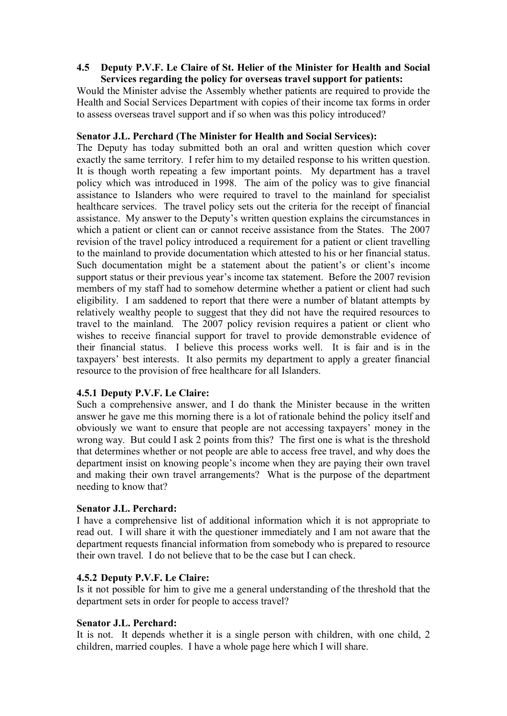## **4.5** � **Deputy P.V.F. Le Claire of St. Helier of the Minister for Health and Social Services regarding the policy for overseas travel support for patients:**

Would the Minister advise the Assembly whether patients are required to provide the Health and Social Services Department with copies of their income tax forms in order to assess overseas travel support and if so when was this policy introduced?

# **Senator J.L. Perchard (The Minister for Health and Social Services):**

The Deputy has today submitted both an oral and written question which cover exactly the same territory. I refer him to my detailed response to his written question. It is though worth repeating a few important points. My department has a travel policy which was introduced in 1998. The aim of the policy was to give financial assistance to Islanders who were required to travel to the mainland for specialist healthcare services. The travel policy sets out the criteria for the receipt of financial assistance. My answer to the Deputy's written question explains the circumstances in which a patient or client can or cannot receive assistance from the States. The 2007 revision of the travel policy introduced a requirement for a patient or client travelling to the mainland to provide documentation which attested to his or her financial status. Such documentation might be a statement about the patient's or client's income support status or their previous year's income tax statement. Before the 2007 revision members of my staff had to somehow determine whether a patient or client had such eligibility. I am saddened to report that there were a number of blatant attempts by relatively wealthy people to suggest that they did not have the required resources to travel to the mainland. The 2007 policy revision requires a patient or client who wishes to receive financial support for travel to provide demonstrable evidence of their financial status. I believe this process works well. It is fair and is in the taxpayers' best interests. It also permits my department to apply a greater financial resource to the provision of free healthcare for all Islanders.

## **4.5.1 Deputy P.V.F. Le Claire:**

Such a comprehensive answer, and I do thank the Minister because in the written answer he gave me this morning there is a lot of rationale behind the policy itself and obviously we want to ensure that people are not accessing taxpayers' money in the wrong way. But could I ask 2 points from this? The first one is what is the threshold that determines whether or not people are able to access free travel, and why does the department insist on knowing people's income when they are paying their own travel and making their own travel arrangements? What is the purpose of the department needing to know that?

#### **Senator J.L. Perchard:**

I have a comprehensive list of additional information which it is not appropriate to read out. I will share it with the questioner immediately and I am not aware that the department requests financial information from somebody who is prepared to resource their own travel. I do not believe that to be the case but I can check.

#### **4.5.2 Deputy P.V.F. Le Claire:**

Is it not possible for him to give me a general understanding of the threshold that the department sets in order for people to access travel?

## **Senator J.L. Perchard:**

It is not. It depends whether it is a single person with children, with one child, 2 children, married couples. I have a whole page here which I will share.